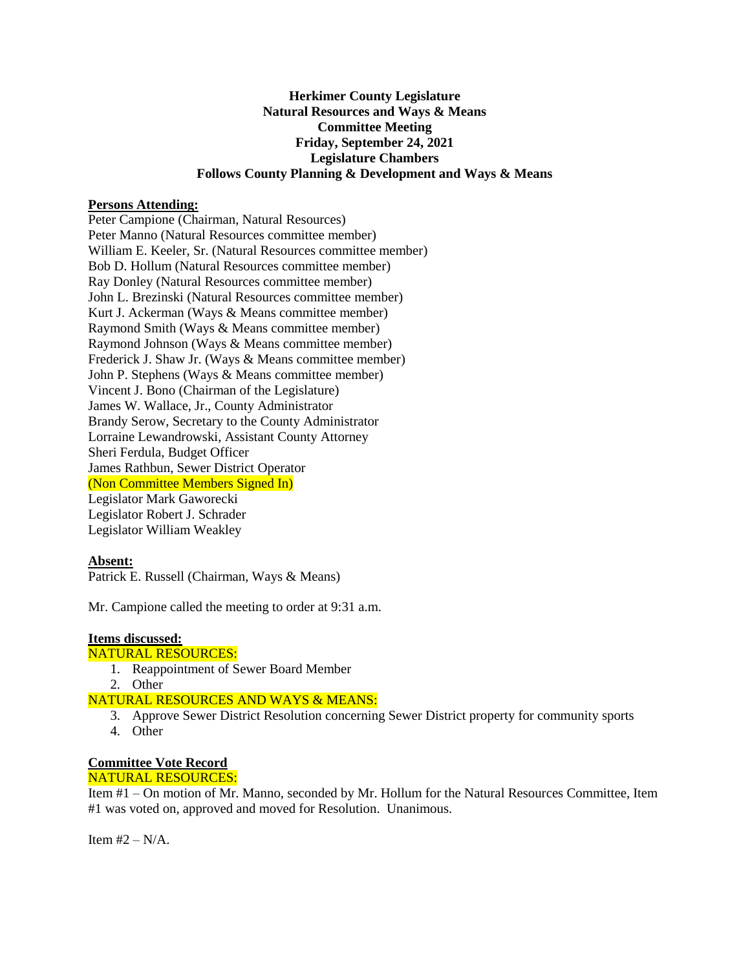## **Herkimer County Legislature Natural Resources and Ways & Means Committee Meeting Friday, September 24, 2021 Legislature Chambers Follows County Planning & Development and Ways & Means**

#### **Persons Attending:**

Peter Campione (Chairman, Natural Resources) Peter Manno (Natural Resources committee member) William E. Keeler, Sr. (Natural Resources committee member) Bob D. Hollum (Natural Resources committee member) Ray Donley (Natural Resources committee member) John L. Brezinski (Natural Resources committee member) Kurt J. Ackerman (Ways & Means committee member) Raymond Smith (Ways & Means committee member) Raymond Johnson (Ways & Means committee member) Frederick J. Shaw Jr. (Ways & Means committee member) John P. Stephens (Ways & Means committee member) Vincent J. Bono (Chairman of the Legislature) James W. Wallace, Jr., County Administrator Brandy Serow, Secretary to the County Administrator Lorraine Lewandrowski, Assistant County Attorney Sheri Ferdula, Budget Officer James Rathbun, Sewer District Operator (Non Committee Members Signed In) Legislator Mark Gaworecki Legislator Robert J. Schrader Legislator William Weakley

# **Absent:**

Patrick E. Russell (Chairman, Ways & Means)

Mr. Campione called the meeting to order at 9:31 a.m.

#### **Items discussed:**

#### NATURAL RESOURCES:

- 1. Reappointment of Sewer Board Member
- 2. Other

### NATURAL RESOURCES AND WAYS & MEANS:

- 3. Approve Sewer District Resolution concerning Sewer District property for community sports 4. Other
	-

# **Committee Vote Record**

## NATURAL RESOURCES:

Item #1 – On motion of Mr. Manno, seconded by Mr. Hollum for the Natural Resources Committee, Item #1 was voted on, approved and moved for Resolution. Unanimous.

Item  $#2 - N/A$ .